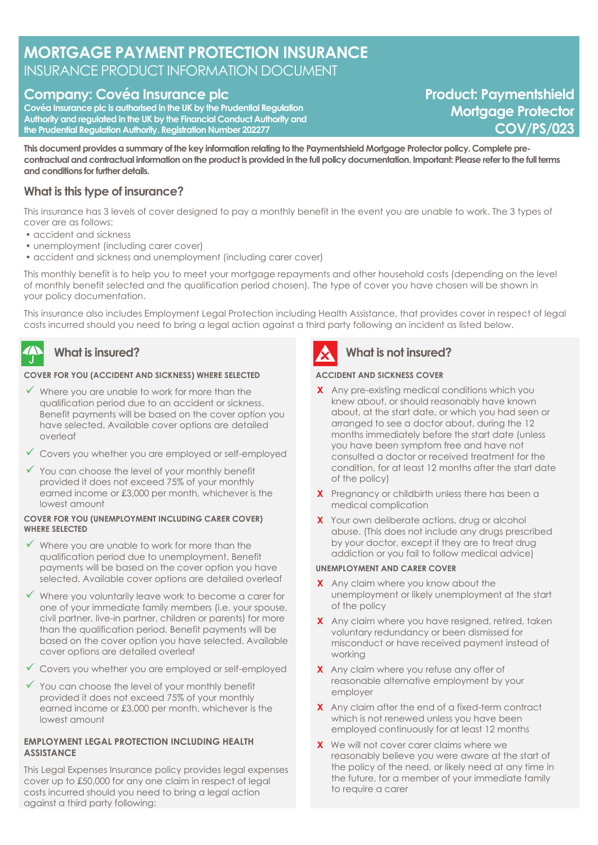# **MORTGAGE PAYMENT PROTECTION INSURANCE** INSURANCE PRODUCT INFORMATION DOCUMENT

## **Company: Covéa Insurance plc**

**Covéa Insurance plc is authorised in the UK by the Prudential Regulation Authority and regulated in the UK by the Financial Conduct Authority and the Prudential Regulation Authority. Registration Number 202277**

**Product: Paymentshield Mortgage Protector COV/PS/023**

**This document provides a summary of the key information relating to the Paymentshield Mortgage Protector policy. Complete precontractual and contractual information on the product is provided in the full policy documentation. Important: Please refer to the full terms and conditions for further details.**

## **What is this type of insurance?**

This insurance has 3 levels of cover designed to pay a monthly benefit in the event you are unable to work. The 3 types of cover are as follows:

- accident and sickness
- unemployment (including carer cover)
- accident and sickness and unemployment (including carer cover)

This monthly benefit is to help you to meet your mortgage repayments and other household costs (depending on the level of monthly benefit selected and the qualification period chosen). The type of cover you have chosen will be shown in your policy documentation.

This insurance also includes Employment Legal Protection including Health Assistance, that provides cover in respect of legal costs incurred should you need to bring a legal action against a third party following an incident as listed below.

# **What is insured?**

#### **COVER FOR YOU (ACCIDENT AND SICKNESS) WHERE SELECTED**

- $\checkmark$  Where you are unable to work for more than the qualification period due to an accident or sickness. Benefit payments will be based on the cover option you have selected. Available cover options are detailed overleaf
- ✓ Covers you whether you are employed or self-employed
- $\checkmark$  You can choose the level of your monthly benefit provided it does not exceed 75% of your monthly earned income or £3,000 per month, whichever is the lowest amount

#### **COVER FOR YOU (UNEMPLOYMENT INCLUDING CARER COVER) WHERE SELECTED**

- ✓ Where you are unable to work for more than the qualification period due to unemployment. Benefit payments will be based on the cover option you have selected. Available cover options are detailed overleaf
- ✓ Where you voluntarily leave work to become a carer for one of your immediate family members (i.e. your spouse, civil partner, live-in partner, children or parents) for more than the qualification period. Benefit payments will be based on the cover option you have selected. Available cover options are detailed overleaf
- ✓ Covers you whether you are employed or self-employed
- $\checkmark$  You can choose the level of your monthly benefit provided it does not exceed 75% of your monthly earned income or £3,000 per month, whichever is the lowest amount

#### **EMPLOYMENT LEGAL PROTECTION INCLUDING HEALTH ASSISTANCE**

This Legal Expenses Insurance policy provides legal expenses cover up to £50,000 for any one claim in respect of legal costs incurred should you need to bring a legal action against a third party following:



# **What is not insured?**

#### **ACCIDENT AND SICKNESS COVER**

- **X** Any pre-existing medical conditions which you knew about, or should reasonably have known about, at the start date, or which you had seen or arranged to see a doctor about, during the 12 months immediately before the start date (unless you have been symptom free and have not consulted a doctor or received treatment for the condition, for at least 12 months after the start date of the policy)
- **X** Pregnancy or childbirth unless there has been a medical complication
- **X** Your own deliberate actions, drug or alcohol abuse. (This does not include any drugs prescribed by your doctor, except if they are to treat drug addiction or you fail to follow medical advice)

#### **UNEMPLOYMENT AND CARER COVER**

- **X** Any claim where you know about the unemployment or likely unemployment at the start of the policy
- **X** Any claim where you have resigned, retired, taken voluntary redundancy or been dismissed for misconduct or have received payment instead of working
- **X** Any claim where you refuse any offer of reasonable alternative employment by your employer
- **X** Any claim after the end of a fixed-term contract which is not renewed unless you have been employed continuously for at least 12 months
- **X** We will not cover carer claims where we reasonably believe you were aware at the start of the policy of the need, or likely need at any time in the future, for a member of your immediate family to require a carer